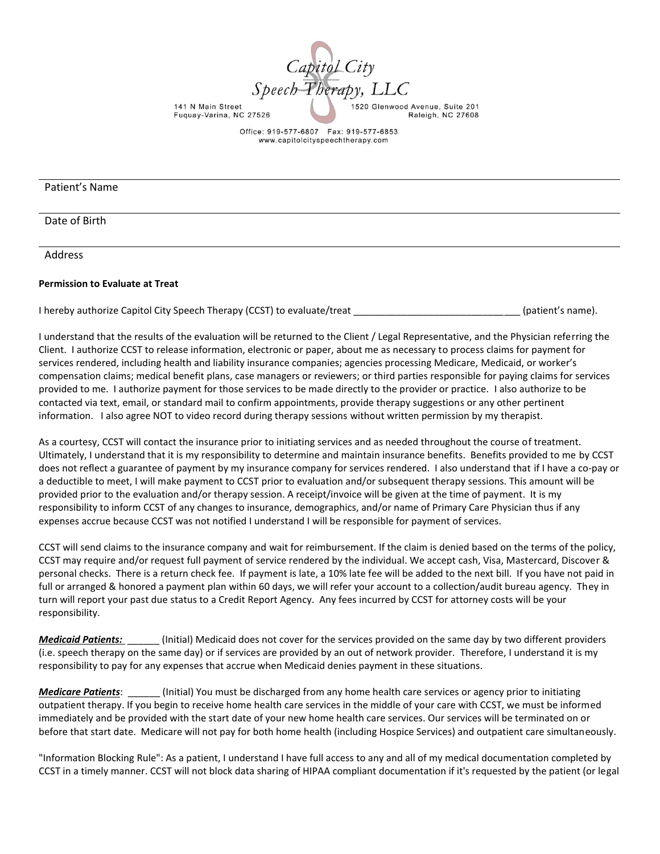

Office: 919-577-6807 Fax: 919-577-6853 www.capitolcityspeechtherapy.com

### Patient's Name

Date of Birth

Address

#### **Permission to Evaluate at Treat**

I hereby authorize Capitol City Speech Therapy (CCST) to evaluate/treat and the statement of patient's name).

I understand that the results of the evaluation will be returned to the Client / Legal Representative, and the Physician referring the Client. I authorize CCST to release information, electronic or paper, about me as necessary to process claims for payment for services rendered, including health and liability insurance companies; agencies processing Medicare, Medicaid, or worker's compensation claims; medical benefit plans, case managers or reviewers; or third parties responsible for paying claims for services provided to me. I authorize payment for those services to be made directly to the provider or practice. I also authorize to be contacted via text, email, or standard mail to confirm appointments, provide therapy suggestions or any other pertinent information. I also agree NOT to video record during therapy sessions without written permission by my therapist.

As a courtesy, CCST will contact the insurance prior to initiating services and as needed throughout the course of treatment. Ultimately, I understand that it is my responsibility to determine and maintain insurance benefits. Benefits provided to me by CCST does not reflect a guarantee of payment by my insurance company for services rendered. I also understand that if I have a co-pay or a deductible to meet, I will make payment to CCST prior to evaluation and/or subsequent therapy sessions. This amount will be provided prior to the evaluation and/or therapy session. A receipt/invoice will be given at the time of payment. It is my responsibility to inform CCST of any changes to insurance, demographics, and/or name of Primary Care Physician thus if any expenses accrue because CCST was not notified I understand I will be responsible for payment of services.

CCST will send claims to the insurance company and wait for reimbursement. If the claim is denied based on the terms of the policy, CCST may require and/or request full payment of service rendered by the individual. We accept cash, Visa, Mastercard, Discover & personal checks. There is a return check fee. If payment is late, a 10% late fee will be added to the next bill. If you have not paid in full or arranged & honored a payment plan within 60 days, we will refer your account to a collection/audit bureau agency. They in turn will report your past due status to a Credit Report Agency. Any fees incurred by CCST for attorney costs will be your responsibility.

*Medicaid Patients:* \_\_\_\_\_\_ (Initial) Medicaid does not cover for the services provided on the same day by two different providers (i.e. speech therapy on the same day) or if services are provided by an out of network provider. Therefore, I understand it is my responsibility to pay for any expenses that accrue when Medicaid denies payment in these situations.

*Medicare Patients*: \_\_\_\_\_\_ (Initial) You must be discharged from any home health care services or agency prior to initiating outpatient therapy. If you begin to receive home health care services in the middle of your care with CCST, we must be informed immediately and be provided with the start date of your new home health care services. Our services will be terminated on or before that start date. Medicare will not pay for both home health (including Hospice Services) and outpatient care simultaneously.

"Information Blocking Rule": As a patient, I understand I have full access to any and all of my medical documentation completed by CCST in a timely manner. CCST will not block data sharing of HIPAA compliant documentation if it's requested by the patient (or legal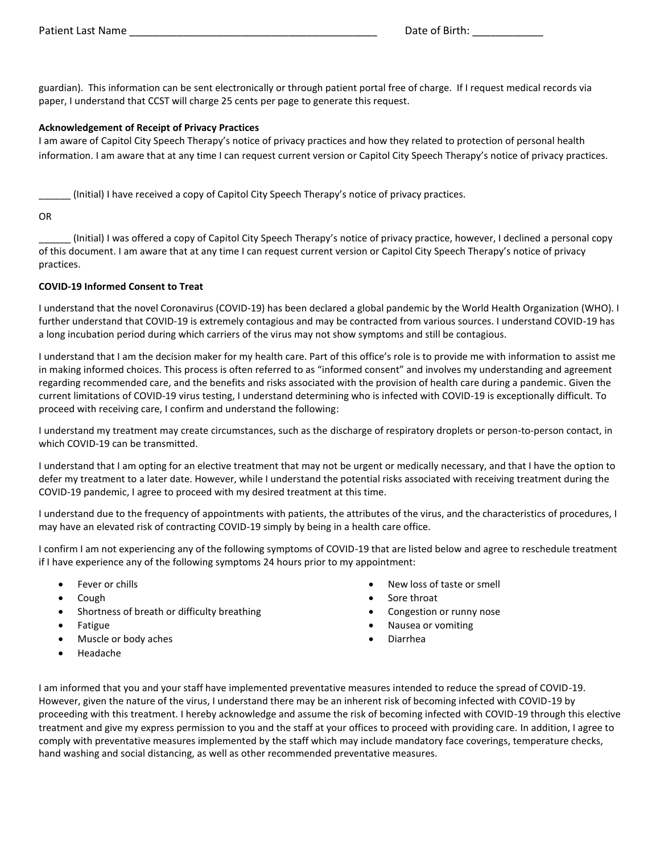guardian). This information can be sent electronically or through patient portal free of charge. If I request medical records via paper, I understand that CCST will charge 25 cents per page to generate this request.

### **Acknowledgement of Receipt of Privacy Practices**

I am aware of Capitol City Speech Therapy's notice of privacy practices and how they related to protection of personal health information. I am aware that at any time I can request current version or Capitol City Speech Therapy's notice of privacy practices.

\_\_\_\_\_\_ (Initial) I have received a copy of Capitol City Speech Therapy's notice of privacy practices.

### OR

\_\_\_\_\_\_ (Initial) I was offered a copy of Capitol City Speech Therapy's notice of privacy practice, however, I declined a personal copy of this document. I am aware that at any time I can request current version or Capitol City Speech Therapy's notice of privacy practices.

### **COVID-19 Informed Consent to Treat**

I understand that the novel Coronavirus (COVID-19) has been declared a global pandemic by the World Health Organization (WHO). I further understand that COVID-19 is extremely contagious and may be contracted from various sources. I understand COVID-19 has a long incubation period during which carriers of the virus may not show symptoms and still be contagious.

I understand that I am the decision maker for my health care. Part of this office's role is to provide me with information to assist me in making informed choices. This process is often referred to as "informed consent" and involves my understanding and agreement regarding recommended care, and the benefits and risks associated with the provision of health care during a pandemic. Given the current limitations of COVID-19 virus testing, I understand determining who is infected with COVID-19 is exceptionally difficult. To proceed with receiving care, I confirm and understand the following:

I understand my treatment may create circumstances, such as the discharge of respiratory droplets or person-to-person contact, in which COVID-19 can be transmitted.

I understand that I am opting for an elective treatment that may not be urgent or medically necessary, and that I have the option to defer my treatment to a later date. However, while I understand the potential risks associated with receiving treatment during the COVID-19 pandemic, I agree to proceed with my desired treatment at this time.

I understand due to the frequency of appointments with patients, the attributes of the virus, and the characteristics of procedures, I may have an elevated risk of contracting COVID-19 simply by being in a health care office.

I confirm I am not experiencing any of the following symptoms of COVID-19 that are listed below and agree to reschedule treatment if I have experience any of the following symptoms 24 hours prior to my appointment:

- Fever or chills
- Cough
- Shortness of breath or difficulty breathing
- Fatigue
- Muscle or body aches
- Headache
- New loss of taste or smell
- Sore throat
- Congestion or runny nose
- Nausea or vomiting
- Diarrhea

I am informed that you and your staff have implemented preventative measures intended to reduce the spread of COVID-19. However, given the nature of the virus, I understand there may be an inherent risk of becoming infected with COVID-19 by proceeding with this treatment. I hereby acknowledge and assume the risk of becoming infected with COVID-19 through this elective treatment and give my express permission to you and the staff at your offices to proceed with providing care. In addition, I agree to comply with preventative measures implemented by the staff which may include mandatory face coverings, temperature checks, hand washing and social distancing, as well as other recommended preventative measures.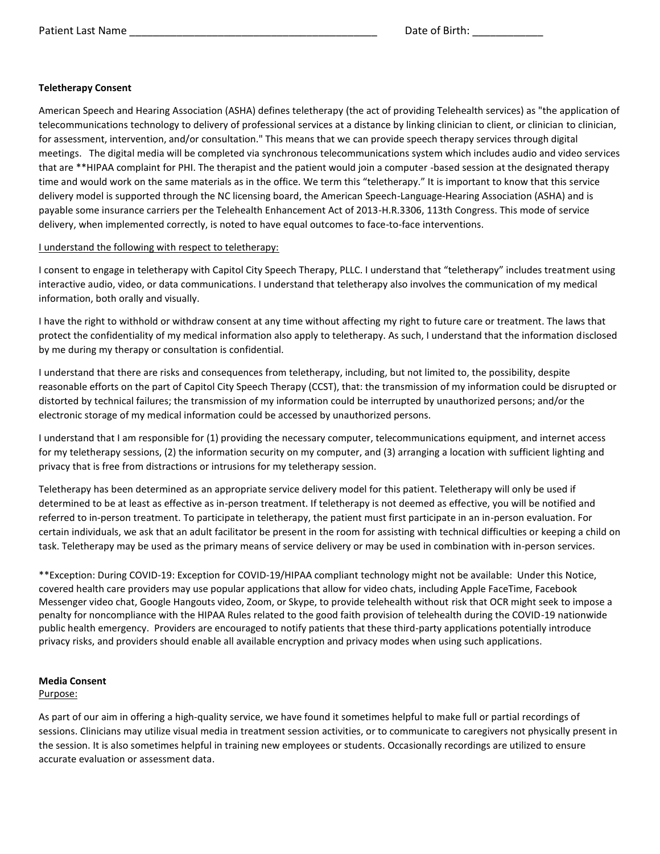## **Teletherapy Consent**

American Speech and Hearing Association (ASHA) defines teletherapy (the act of providing Telehealth services) as "the application of telecommunications technology to delivery of professional services at a distance by linking clinician to client, or clinician to clinician, for assessment, intervention, and/or consultation." This means that we can provide speech therapy services through digital meetings. The digital media will be completed via synchronous telecommunications system which includes audio and video services that are \*\*HIPAA complaint for PHI. The therapist and the patient would join a computer -based session at the designated therapy time and would work on the same materials as in the office. We term this "teletherapy." It is important to know that this service delivery model is supported through the NC licensing board, the American Speech-Language-Hearing Association (ASHA) and is payable some insurance carriers per the Telehealth Enhancement Act of 2013-H.R.3306, 113th Congress. This mode of service delivery, when implemented correctly, is noted to have equal outcomes to face-to-face interventions.

## I understand the following with respect to teletherapy:

I consent to engage in teletherapy with Capitol City Speech Therapy, PLLC. I understand that "teletherapy" includes treatment using interactive audio, video, or data communications. I understand that teletherapy also involves the communication of my medical information, both orally and visually.

I have the right to withhold or withdraw consent at any time without affecting my right to future care or treatment. The laws that protect the confidentiality of my medical information also apply to teletherapy. As such, I understand that the information disclosed by me during my therapy or consultation is confidential.

I understand that there are risks and consequences from teletherapy, including, but not limited to, the possibility, despite reasonable efforts on the part of Capitol City Speech Therapy (CCST), that: the transmission of my information could be disrupted or distorted by technical failures; the transmission of my information could be interrupted by unauthorized persons; and/or the electronic storage of my medical information could be accessed by unauthorized persons.

I understand that I am responsible for (1) providing the necessary computer, telecommunications equipment, and internet access for my teletherapy sessions, (2) the information security on my computer, and (3) arranging a location with sufficient lighting and privacy that is free from distractions or intrusions for my teletherapy session.

Teletherapy has been determined as an appropriate service delivery model for this patient. Teletherapy will only be used if determined to be at least as effective as in-person treatment. If teletherapy is not deemed as effective, you will be notified and referred to in-person treatment. To participate in teletherapy, the patient must first participate in an in-person evaluation. For certain individuals, we ask that an adult facilitator be present in the room for assisting with technical difficulties or keeping a child on task. Teletherapy may be used as the primary means of service delivery or may be used in combination with in-person services.

\*\*Exception: During COVID-19: Exception for COVID-19/HIPAA compliant technology might not be available: Under this Notice, covered health care providers may use popular applications that allow for video chats, including Apple FaceTime, Facebook Messenger video chat, Google Hangouts video, Zoom, or Skype, to provide telehealth without risk that OCR might seek to impose a penalty for noncompliance with the HIPAA Rules related to the good faith provision of telehealth during the COVID-19 nationwide public health emergency. Providers are encouraged to notify patients that these third-party applications potentially introduce privacy risks, and providers should enable all available encryption and privacy modes when using such applications.

# **Media Consent**

# Purpose:

As part of our aim in offering a high-quality service, we have found it sometimes helpful to make full or partial recordings of sessions. Clinicians may utilize visual media in treatment session activities, or to communicate to caregivers not physically present in the session. It is also sometimes helpful in training new employees or students. Occasionally recordings are utilized to ensure accurate evaluation or assessment data.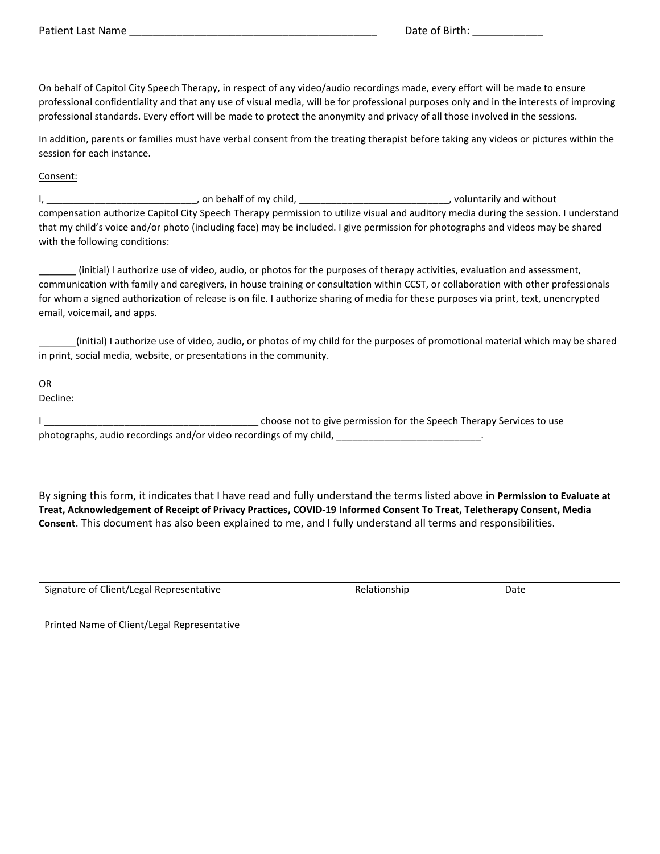On behalf of Capitol City Speech Therapy, in respect of any video/audio recordings made, every effort will be made to ensure professional confidentiality and that any use of visual media, will be for professional purposes only and in the interests of improving professional standards. Every effort will be made to protect the anonymity and privacy of all those involved in the sessions.

In addition, parents or families must have verbal consent from the treating therapist before taking any videos or pictures within the session for each instance.

### Consent:

I, \_\_\_\_\_\_\_\_\_\_\_\_\_\_\_\_\_\_\_\_\_\_\_\_\_\_\_\_, on behalf of my child, \_\_\_\_\_\_\_\_\_\_\_\_\_\_\_\_\_\_\_\_\_\_\_\_\_\_\_\_, voluntarily and without compensation authorize Capitol City Speech Therapy permission to utilize visual and auditory media during the session. I understand that my child's voice and/or photo (including face) may be included. I give permission for photographs and videos may be shared with the following conditions:

\_\_\_\_\_\_\_ (initial) I authorize use of video, audio, or photos for the purposes of therapy activities, evaluation and assessment, communication with family and caregivers, in house training or consultation within CCST, or collaboration with other professionals for whom a signed authorization of release is on file. I authorize sharing of media for these purposes via print, text, unencrypted email, voicemail, and apps.

\_\_\_\_\_\_\_(initial) I authorize use of video, audio, or photos of my child for the purposes of promotional material which may be shared in print, social media, website, or presentations in the community.

OR Decline:

I choose not to give permission for the Speech Therapy Services to use photographs, audio recordings and/or video recordings of my child,  $\blacksquare$ 

By signing this form, it indicates that I have read and fully understand the terms listed above in **Permission to Evaluate at Treat, Acknowledgement of Receipt of Privacy Practices, COVID-19 Informed Consent To Treat, Teletherapy Consent, Media Consent**. This document has also been explained to me, and I fully understand all terms and responsibilities.

Signature of Client/Legal Representative **Relationship** Relationship Date

Printed Name of Client/Legal Representative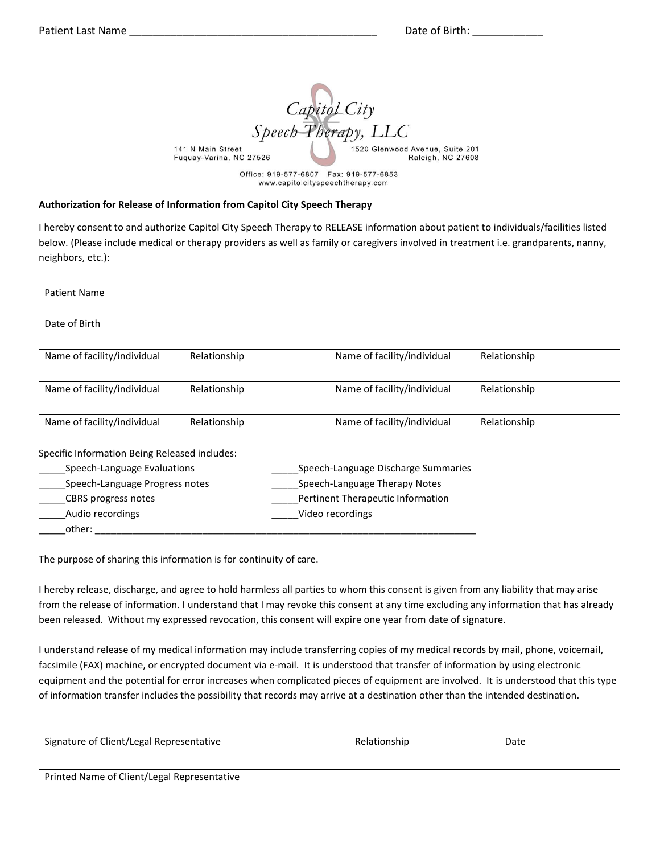Capitol City Speech Therapy, LLC 141 N Main Street 1520 Glenwood Avenue, Suite 201 Fuquay-Varina, NC 27526 Raleigh, NC 27608 Office: 919-577-6807 Fax: 919-577-6853

www.capitolcityspeechtherapy.com

### **Authorization for Release of Information from Capitol City Speech Therapy**

I hereby consent to and authorize Capitol City Speech Therapy to RELEASE information about patient to individuals/facilities listed below. (Please include medical or therapy providers as well as family or caregivers involved in treatment i.e. grandparents, nanny, neighbors, etc.):

| <b>Patient Name</b>                           |              |                                     |              |  |
|-----------------------------------------------|--------------|-------------------------------------|--------------|--|
| Date of Birth                                 |              |                                     |              |  |
| Name of facility/individual                   | Relationship | Name of facility/individual         | Relationship |  |
| Name of facility/individual                   | Relationship | Name of facility/individual         | Relationship |  |
| Name of facility/individual                   | Relationship | Name of facility/individual         | Relationship |  |
| Specific Information Being Released includes: |              |                                     |              |  |
| Speech-Language Evaluations                   |              | Speech-Language Discharge Summaries |              |  |
| Speech-Language Progress notes                |              | Speech-Language Therapy Notes       |              |  |
| CBRS progress notes                           |              | Pertinent Therapeutic Information   |              |  |
| Audio recordings                              |              | Video recordings                    |              |  |
| other:                                        |              |                                     |              |  |

The purpose of sharing this information is for continuity of care.

I hereby release, discharge, and agree to hold harmless all parties to whom this consent is given from any liability that may arise from the release of information. I understand that I may revoke this consent at any time excluding any information that has already been released. Without my expressed revocation, this consent will expire one year from date of signature.

I understand release of my medical information may include transferring copies of my medical records by mail, phone, voicemail, facsimile (FAX) machine, or encrypted document via e-mail. It is understood that transfer of information by using electronic equipment and the potential for error increases when complicated pieces of equipment are involved. It is understood that this type of information transfer includes the possibility that records may arrive at a destination other than the intended destination.

Relationship Date

Printed Name of Client/Legal Representative